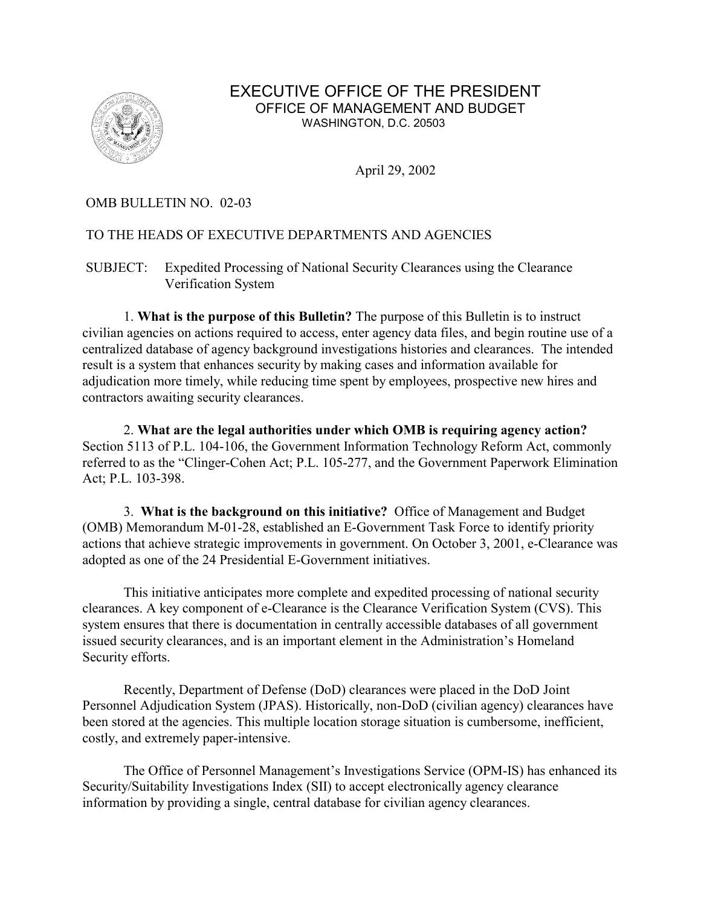

## EXECUTIVE OFFICE OF THE PRESIDENT OFFICE OF MANAGEMENT AND BUDGET WASHINGTON, D.C. 20503

April 29, 2002

## OMB BULLETIN NO. 02-03

## TO THE HEADS OF EXECUTIVE DEPARTMENTS AND AGENCIES

SUBJECT: Expedited Processing of National Security Clearances using the Clearance Verification System

1. **What is the purpose of this Bulletin?** The purpose of this Bulletin is to instruct civilian agencies on actions required to access, enter agency data files, and begin routine use of a centralized database of agency background investigations histories and clearances. The intended result is a system that enhances security by making cases and information available for adjudication more timely, while reducing time spent by employees, prospective new hires and contractors awaiting security clearances.

2. **What are the legal authorities under which OMB is requiring agency action?**  Section 5113 of P.L. 104-106, the Government Information Technology Reform Act, commonly referred to as the "Clinger-Cohen Act; P.L. 105-277, and the Government Paperwork Elimination Act; P.L. 103-398.

3. **What is the background on this initiative?** Office of Management and Budget (OMB) Memorandum M-01-28, established an E-Government Task Force to identify priority actions that achieve strategic improvements in government. On October 3, 2001, e-Clearance was adopted as one of the 24 Presidential E-Government initiatives.

This initiative anticipates more complete and expedited processing of national security clearances. A key component of e-Clearance is the Clearance Verification System (CVS). This system ensures that there is documentation in centrally accessible databases of all government issued security clearances, and is an important element in the Administration's Homeland Security efforts.

Recently, Department of Defense (DoD) clearances were placed in the DoD Joint Personnel Adjudication System (JPAS). Historically, non-DoD (civilian agency) clearances have been stored at the agencies. This multiple location storage situation is cumbersome, inefficient, costly, and extremely paper-intensive.

The Office of Personnel Management's Investigations Service (OPM-IS) has enhanced its Security/Suitability Investigations Index (SII) to accept electronically agency clearance information by providing a single, central database for civilian agency clearances.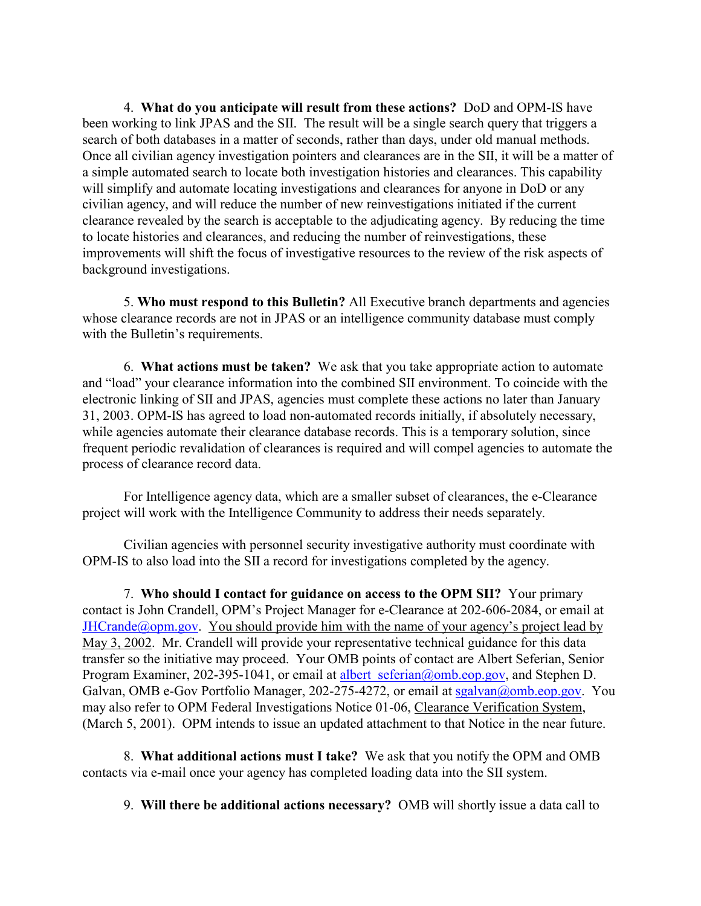4. **What do you anticipate will result from these actions?** DoD and OPM-IS have been working to link JPAS and the SII. The result will be a single search query that triggers a search of both databases in a matter of seconds, rather than days, under old manual methods. Once all civilian agency investigation pointers and clearances are in the SII, it will be a matter of a simple automated search to locate both investigation histories and clearances. This capability will simplify and automate locating investigations and clearances for anyone in DoD or any civilian agency, and will reduce the number of new reinvestigations initiated if the current clearance revealed by the search is acceptable to the adjudicating agency. By reducing the time to locate histories and clearances, and reducing the number of reinvestigations, these improvements will shift the focus of investigative resources to the review of the risk aspects of background investigations.

5. **Who must respond to this Bulletin?** All Executive branch departments and agencies whose clearance records are not in JPAS or an intelligence community database must comply with the Bulletin's requirements.

6. **What actions must be taken?** We ask that you take appropriate action to automate and "load" your clearance information into the combined SII environment. To coincide with the electronic linking of SII and JPAS, agencies must complete these actions no later than January 31, 2003. OPM-IS has agreed to load non-automated records initially, if absolutely necessary, while agencies automate their clearance database records. This is a temporary solution, since frequent periodic revalidation of clearances is required and will compel agencies to automate the process of clearance record data.

For Intelligence agency data, which are a smaller subset of clearances, the e-Clearance project will work with the Intelligence Community to address their needs separately.

Civilian agencies with personnel security investigative authority must coordinate with OPM-IS to also load into the SII a record for investigations completed by the agency.

7. **Who should I contact for guidance on access to the OPM SII?** Your primary contact is John Crandell, OPM's Project Manager for e-Clearance at 202-606-2084, or email at  $JHCrande@opm.gov$ . You should provide him with the name of your agency's project lead by May 3, 2002. Mr. Crandell will provide your representative technical guidance for this data transfer so the initiative may proceed. Your OMB points of contact are Albert Seferian, Senior Program Examiner, 202-395-1041, or email at albert seferian@omb.eop.gov, and Stephen D. Galvan, OMB e-Gov Portfolio Manager, 202-275-4272, or email at sgalvan@omb.eop.gov. You may also refer to OPM Federal Investigations Notice 01-06, Clearance Verification System, (March 5, 2001). OPM intends to issue an updated attachment to that Notice in the near future.

8. **What additional actions must I take?** We ask that you notify the OPM and OMB contacts via e-mail once your agency has completed loading data into the SII system.

9. **Will there be additional actions necessary?** OMB will shortly issue a data call to